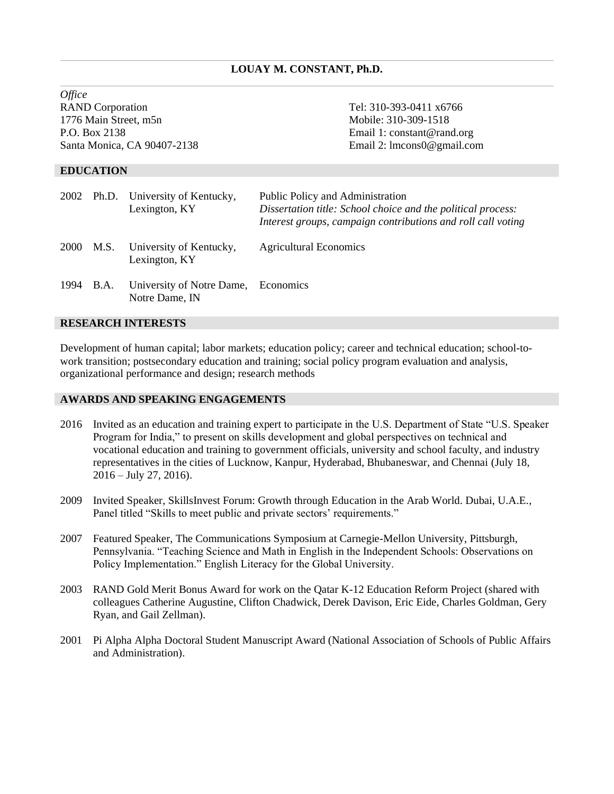# **LOUAY M. CONSTANT, Ph.D.**

*Office* RAND Corporation Tel: 310-393-0411 x6766 1776 Main Street, m5n Mobile: 310-309-1518 P.O. Box 2138 Email 1: constant@rand.org Santa Monica, CA 90407-2138 Email 2: lmcons0@gmail.com

### **EDUCATION**

|      |           | 2002 Ph.D. University of Kentucky,<br>Lexington, KY   | Public Policy and Administration<br>Dissertation title: School choice and the political process:<br>Interest groups, campaign contributions and roll call voting |
|------|-----------|-------------------------------------------------------|------------------------------------------------------------------------------------------------------------------------------------------------------------------|
| 2000 | M.S.      | University of Kentucky,<br>Lexington, KY              | <b>Agricultural Economics</b>                                                                                                                                    |
|      | 1994 B.A. | University of Notre Dame, Economics<br>Notre Dame, IN |                                                                                                                                                                  |

### **RESEARCH INTERESTS**

Development of human capital; labor markets; education policy; career and technical education; school-towork transition; postsecondary education and training; social policy program evaluation and analysis, organizational performance and design; research methods

## **AWARDS AND SPEAKING ENGAGEMENTS**

- 2016 Invited as an education and training expert to participate in the U.S. Department of State "U.S. Speaker Program for India," to present on skills development and global perspectives on technical and vocational education and training to government officials, university and school faculty, and industry representatives in the cities of Lucknow, Kanpur, Hyderabad, Bhubaneswar, and Chennai (July 18, 2016 – July 27, 2016).
- 2009 Invited Speaker, SkillsInvest Forum: Growth through Education in the Arab World. Dubai, U.A.E., Panel titled "Skills to meet public and private sectors' requirements."
- 2007 Featured Speaker, The Communications Symposium at Carnegie-Mellon University, Pittsburgh, Pennsylvania. "Teaching Science and Math in English in the Independent Schools: Observations on Policy Implementation." English Literacy for the Global University.
- 2003 RAND Gold Merit Bonus Award for work on the Qatar K-12 Education Reform Project (shared with colleagues Catherine Augustine, Clifton Chadwick, Derek Davison, Eric Eide, Charles Goldman, Gery Ryan, and Gail Zellman).
- 2001 Pi Alpha Alpha Doctoral Student Manuscript Award (National Association of Schools of Public Affairs and Administration).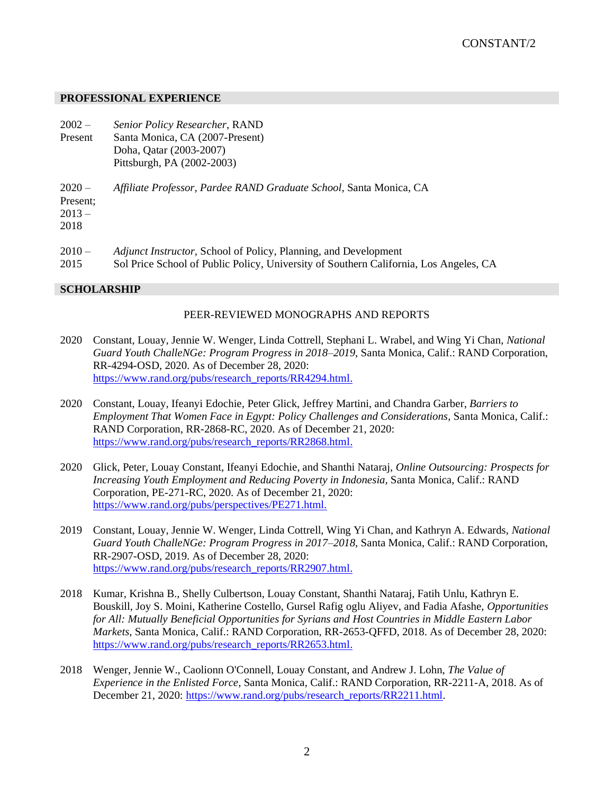## **PROFESSIONAL EXPERIENCE**

- $2002 -$ Present *Senior Policy Researcher*, RAND Santa Monica, CA (2007-Present)
	- Doha, Qatar (2003-2007) Pittsburgh, PA (2002-2003)
- $2020 -$ *Affiliate Professor, Pardee RAND Graduate School*, Santa Monica, CA

Present;  $2013 -$ 

2018

- $2010 -$ *Adjunct Instructor,* School of Policy, Planning, and Development
- 2015 Sol Price School of Public Policy, University of Southern California, Los Angeles, CA

# **SCHOLARSHIP**

# PEER-REVIEWED MONOGRAPHS AND REPORTS

- 2020 Constant, Louay, Jennie W. Wenger, Linda Cottrell, Stephani L. Wrabel, and Wing Yi Chan, *National Guard Youth ChalleNGe: Program Progress in 2018–2019*, Santa Monica, Calif.: RAND Corporation, RR-4294-OSD, 2020. As of December 28, 2020: [https://www.rand.org/pubs/research\\_reports/RR4294.html.](https://www.rand.org/pubs/research_reports/RR4294.html)
- 2020 Constant, Louay, Ifeanyi Edochie, Peter Glick, Jeffrey Martini, and Chandra Garber, *Barriers to Employment That Women Face in Egypt: Policy Challenges and Considerations*, Santa Monica, Calif.: RAND Corporation, RR-2868-RC, 2020. As of December 21, 2020: [https://www.rand.org/pubs/research\\_reports/RR2868.html.](https://www.rand.org/pubs/research_reports/RR2868.html)
- 2020 Glick, Peter, Louay Constant, Ifeanyi Edochie, and Shanthi Nataraj, *Online Outsourcing: Prospects for Increasing Youth Employment and Reducing Poverty in Indonesia*, Santa Monica, Calif.: RAND Corporation, PE-271-RC, 2020. As of December 21, 2020: https://www.rand.org/pubs/perspectives/PE271.html.
- 2019 Constant, Louay, Jennie W. Wenger, Linda Cottrell, Wing Yi Chan, and Kathryn A. Edwards, *National Guard Youth ChalleNGe: Program Progress in 2017–2018*, Santa Monica, Calif.: RAND Corporation, RR-2907-OSD, 2019. As of December 28, 2020: [https://www.rand.org/pubs/research\\_reports/RR2907.html.](https://www.rand.org/pubs/research_reports/RR2907.html)
- 2018 Kumar, Krishna B., Shelly Culbertson, Louay Constant, Shanthi Nataraj, Fatih Unlu, Kathryn E. Bouskill, Joy S. Moini, Katherine Costello, Gursel Rafig oglu Aliyev, and Fadia Afashe, *Opportunities for All: Mutually Beneficial Opportunities for Syrians and Host Countries in Middle Eastern Labor Markets*, Santa Monica, Calif.: RAND Corporation, RR-2653-QFFD, 2018. As of December 28, 2020: [https://www.rand.org/pubs/research\\_reports/RR2653.html.](https://www.rand.org/pubs/research_reports/RR2653.html)
- 2018 Wenger, Jennie W., Caolionn O'Connell, Louay Constant, and Andrew J. Lohn, *The Value of Experience in the Enlisted Force*, Santa Monica, Calif.: RAND Corporation, RR-2211-A, 2018. As of December 21, 2020: [https://www.rand.org/pubs/research\\_reports/RR2211.html.](https://www.rand.org/pubs/research_reports/RR2211.html)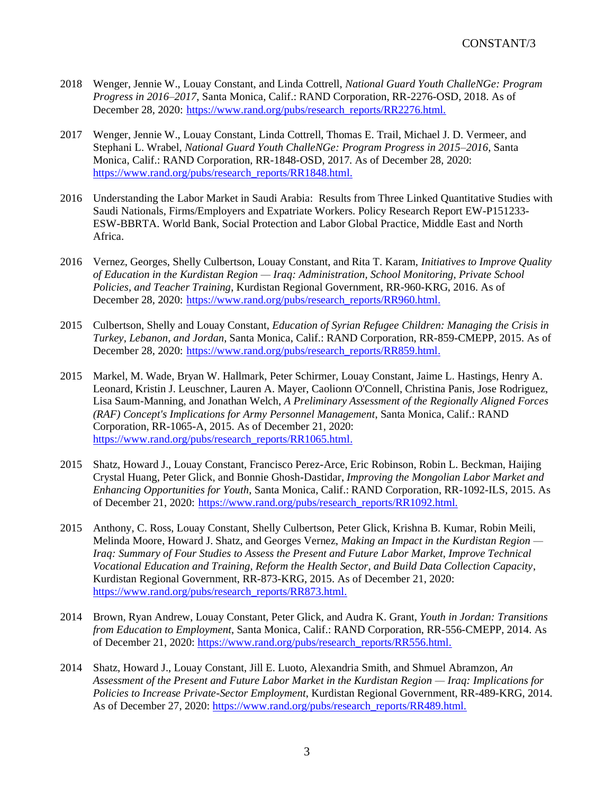- 2018 Wenger, Jennie W., Louay Constant, and Linda Cottrell, *National Guard Youth ChalleNGe: Program Progress in 2016–2017*, Santa Monica, Calif.: RAND Corporation, RR-2276-OSD, 2018. As of December 28, 2020: https://www.rand.org/pubs/research\_reports/RR2276.html.
- 2017 Wenger, Jennie W., Louay Constant, Linda Cottrell, Thomas E. Trail, Michael J. D. Vermeer, and Stephani L. Wrabel, *National Guard Youth ChalleNGe: Program Progress in 2015–2016*, Santa Monica, Calif.: RAND Corporation, RR-1848-OSD, 2017. As of December 28, 2020: https://www.rand.org/pubs/research\_reports/RR1848.html.
- 2016 Understanding the Labor Market in Saudi Arabia: Results from Three Linked Quantitative Studies with Saudi Nationals, Firms/Employers and Expatriate Workers. Policy Research Report EW-P151233- ESW-BBRTA. World Bank, Social Protection and Labor Global Practice, Middle East and North Africa.
- 2016 Vernez, Georges, Shelly Culbertson, Louay Constant, and Rita T. Karam, *Initiatives to Improve Quality of Education in the Kurdistan Region — Iraq: Administration, School Monitoring, Private School Policies, and Teacher Training*, Kurdistan Regional Government, RR-960-KRG, 2016. As of December 28, 2020: [https://www.rand.org/pubs/research\\_reports/RR960.html.](https://www.rand.org/pubs/research_reports/RR960.html)
- 2015 Culbertson, Shelly and Louay Constant, *Education of Syrian Refugee Children: Managing the Crisis in Turkey, Lebanon, and Jordan*, Santa Monica, Calif.: RAND Corporation, RR-859-CMEPP, 2015. As of December 28, 2020: [https://www.rand.org/pubs/research\\_reports/RR859.html.](https://www.rand.org/pubs/research_reports/RR859.html)
- 2015 Markel, M. Wade, Bryan W. Hallmark, Peter Schirmer, Louay Constant, Jaime L. Hastings, Henry A. Leonard, Kristin J. Leuschner, Lauren A. Mayer, Caolionn O'Connell, Christina Panis, Jose Rodriguez, Lisa Saum-Manning, and Jonathan Welch, *A Preliminary Assessment of the Regionally Aligned Forces (RAF) Concept's Implications for Army Personnel Management*, Santa Monica, Calif.: RAND Corporation, RR-1065-A, 2015. As of December 21, 2020: [https://www.rand.org/pubs/research\\_reports/RR1065.html.](https://www.rand.org/pubs/research_reports/RR1065.html)
- 2015 Shatz, Howard J., Louay Constant, Francisco Perez-Arce, Eric Robinson, Robin L. Beckman, Haijing Crystal Huang, Peter Glick, and Bonnie Ghosh-Dastidar, *Improving the Mongolian Labor Market and Enhancing Opportunities for Youth*, Santa Monica, Calif.: RAND Corporation, RR-1092-ILS, 2015. As of December 21, 2020: [https://www.rand.org/pubs/research\\_reports/RR1092.html.](https://www.rand.org/pubs/research_reports/RR1092.html)
- 2015 Anthony, C. Ross, Louay Constant, Shelly Culbertson, Peter Glick, Krishna B. Kumar, Robin Meili, Melinda Moore, Howard J. Shatz, and Georges Vernez, *Making an Impact in the Kurdistan Region — Iraq: Summary of Four Studies to Assess the Present and Future Labor Market, Improve Technical Vocational Education and Training, Reform the Health Sector, and Build Data Collection Capacity*, Kurdistan Regional Government, RR-873-KRG, 2015. As of December 21, 2020: [https://www.rand.org/pubs/research\\_reports/RR873.html.](https://www.rand.org/pubs/research_reports/RR873.html)
- 2014 Brown, Ryan Andrew, Louay Constant, Peter Glick, and Audra K. Grant, *Youth in Jordan: Transitions from Education to Employment*, Santa Monica, Calif.: RAND Corporation, RR-556-CMEPP, 2014. As of December 21, 2020: [https://www.rand.org/pubs/research\\_reports/RR556.html.](https://www.rand.org/pubs/research_reports/RR556.html)
- 2014 Shatz, Howard J., Louay Constant, Jill E. Luoto, Alexandria Smith, and Shmuel Abramzon, *An Assessment of the Present and Future Labor Market in the Kurdistan Region — Iraq: Implications for Policies to Increase Private-Sector Employment*, Kurdistan Regional Government, RR-489-KRG, 2014. As of December 27, 2020: https://www.rand.org/pubs/research\_reports/RR489.html.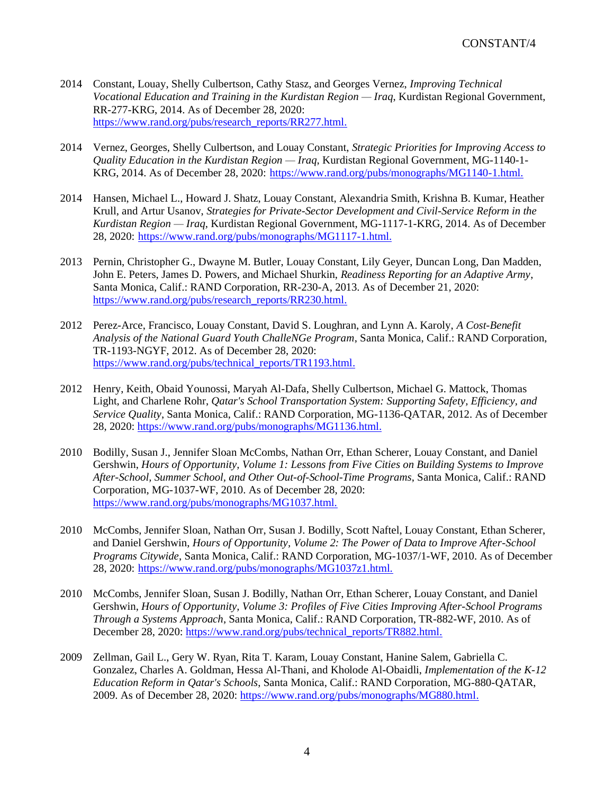- 2014 Constant, Louay, Shelly Culbertson, Cathy Stasz, and Georges Vernez, *Improving Technical Vocational Education and Training in the Kurdistan Region — Iraq*, Kurdistan Regional Government, RR-277-KRG, 2014. As of December 28, 2020: [https://www.rand.org/pubs/research\\_reports/RR277.html.](https://www.rand.org/pubs/research_reports/RR277.html)
- 2014 Vernez, Georges, Shelly Culbertson, and Louay Constant, *Strategic Priorities for Improving Access to Quality Education in the Kurdistan Region — Iraq*, Kurdistan Regional Government, MG-1140-1- KRG, 2014. As of December 28, 2020: [https://www.rand.org/pubs/monographs/MG1140-1.html.](https://www.rand.org/pubs/monographs/MG1140-1.html)
- 2014 Hansen, Michael L., Howard J. Shatz, Louay Constant, Alexandria Smith, Krishna B. Kumar, Heather Krull, and Artur Usanov, *Strategies for Private-Sector Development and Civil-Service Reform in the Kurdistan Region — Iraq*, Kurdistan Regional Government, MG-1117-1-KRG, 2014. As of December 28, 2020: [https://www.rand.org/pubs/monographs/MG1117-1.html.](https://www.rand.org/pubs/monographs/MG1117-1.html)
- 2013 Pernin, Christopher G., Dwayne M. Butler, Louay Constant, Lily Geyer, Duncan Long, Dan Madden, John E. Peters, James D. Powers, and Michael Shurkin, *Readiness Reporting for an Adaptive Army*, Santa Monica, Calif.: RAND Corporation, RR-230-A, 2013. As of December 21, 2020: [https://www.rand.org/pubs/research\\_reports/RR230.html.](https://www.rand.org/pubs/research_reports/RR230.html)
- 2012 Perez-Arce, Francisco, Louay Constant, David S. Loughran, and Lynn A. Karoly, *A Cost-Benefit Analysis of the National Guard Youth ChalleNGe Program*, Santa Monica, Calif.: RAND Corporation, TR-1193-NGYF, 2012. As of December 28, 2020: https://www.rand.org/pubs/technical\_reports/TR1193.html.
- 2012 Henry, Keith, Obaid Younossi, Maryah Al-Dafa, Shelly Culbertson, Michael G. Mattock, Thomas Light, and Charlene Rohr, *Qatar's School Transportation System: Supporting Safety, Efficiency, and Service Quality*, Santa Monica, Calif.: RAND Corporation, MG-1136-QATAR, 2012. As of December 28, 2020: [https://www.rand.org/pubs/monographs/MG1136.html.](https://www.rand.org/pubs/monographs/MG1136.html)
- 2010 Bodilly, Susan J., Jennifer Sloan McCombs, Nathan Orr, Ethan Scherer, Louay Constant, and Daniel Gershwin, *Hours of Opportunity, Volume 1: Lessons from Five Cities on Building Systems to Improve After-School, Summer School, and Other Out-of-School-Time Programs*, Santa Monica, Calif.: RAND Corporation, MG-1037-WF, 2010. As of December 28, 2020: https://www.rand.org/pubs/monographs/MG1037.html.
- 2010 McCombs, Jennifer Sloan, Nathan Orr, Susan J. Bodilly, Scott Naftel, Louay Constant, Ethan Scherer, and Daniel Gershwin, *Hours of Opportunity, Volume 2: The Power of Data to Improve After-School Programs Citywide*, Santa Monica, Calif.: RAND Corporation, MG-1037/1-WF, 2010. As of December 28, 2020: https://www.rand.org/pubs/monographs/MG1037z1.html.
- 2010 McCombs, Jennifer Sloan, Susan J. Bodilly, Nathan Orr, Ethan Scherer, Louay Constant, and Daniel Gershwin, *Hours of Opportunity, Volume 3: Profiles of Five Cities Improving After-School Programs Through a Systems Approach*, Santa Monica, Calif.: RAND Corporation, TR-882-WF, 2010. As of December 28, 2020: https://www.rand.org/pubs/technical\_reports/TR882.html.
- 2009 Zellman, Gail L., Gery W. Ryan, Rita T. Karam, Louay Constant, Hanine Salem, Gabriella C. Gonzalez, Charles A. Goldman, Hessa Al-Thani, and Kholode Al-Obaidli, *Implementation of the K-12 Education Reform in Qatar's Schools*, Santa Monica, Calif.: RAND Corporation, MG-880-QATAR, 2009. As of December 28, 2020: https://www.rand.org/pubs/monographs/MG880.html.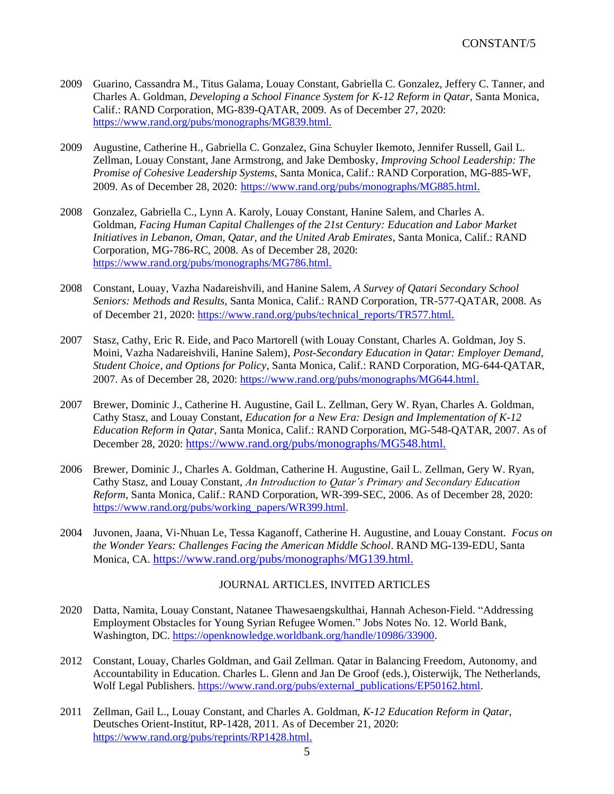- 2009 Guarino, Cassandra M., Titus Galama, Louay Constant, Gabriella C. Gonzalez, Jeffery C. Tanner, and Charles A. Goldman, *Developing a School Finance System for K-12 Reform in Qatar*, Santa Monica, Calif.: RAND Corporation, MG-839-QATAR, 2009. As of December 27, 2020: https://www.rand.org/pubs/monographs/MG839.html.
- 2009 Augustine, Catherine H., Gabriella C. Gonzalez, Gina Schuyler Ikemoto, Jennifer Russell, Gail L. Zellman, Louay Constant, Jane Armstrong, and Jake Dembosky, *Improving School Leadership: The Promise of Cohesive Leadership Systems*, Santa Monica, Calif.: RAND Corporation, MG-885-WF, 2009. As of December 28, 2020: <https://www.rand.org/pubs/monographs/MG885.html>.
- 2008 Gonzalez, Gabriella C., Lynn A. Karoly, Louay Constant, Hanine Salem, and Charles A. Goldman, *Facing Human Capital Challenges of the 21st Century: Education and Labor Market Initiatives in Lebanon, Oman, Qatar, and the United Arab Emirates*, Santa Monica, Calif.: RAND Corporation, MG-786-RC, 2008. As of December 28, 2020: https://www.rand.org/pubs/monographs/MG786.html.
- 2008 Constant, Louay, Vazha Nadareishvili, and Hanine Salem, *A Survey of Qatari Secondary School Seniors: Methods and Results*, Santa Monica, Calif.: RAND Corporation, TR-577-QATAR, 2008. As of December 21, 2020: [https://www.rand.org/pubs/technical\\_reports/TR577.html](https://www.rand.org/pubs/technical_reports/TR577.html).
- 2007 Stasz, Cathy, Eric R. Eide, and Paco Martorell (with Louay Constant, Charles A. Goldman, Joy S. Moini, Vazha Nadareishvili, Hanine Salem), *Post-Secondary Education in Qatar: Employer Demand, Student Choice, and Options for Policy*, Santa Monica, Calif.: RAND Corporation, MG-644-QATAR, 2007. As of December 28, 2020: <https://www.rand.org/pubs/monographs/MG644.html>.
- 2007 Brewer, Dominic J., Catherine H. Augustine, Gail L. Zellman, Gery W. Ryan, Charles A. Goldman, Cathy Stasz, and Louay Constant, *Education for a New Era: Design and Implementation of K-12 Education Reform in Qatar*, Santa Monica, Calif.: RAND Corporation, MG-548-QATAR, 2007. As of December 28, 2020: [https://www.rand.org/pubs/monographs/MG548.html.](https://www.rand.org/pubs/monographs/MG548.html)
- 2006 Brewer, Dominic J., Charles A. Goldman, Catherine H. Augustine, Gail L. Zellman, Gery W. Ryan, Cathy Stasz, and Louay Constant, *An Introduction to Qatar's Primary and Secondary Education Reform*, Santa Monica, Calif.: RAND Corporation, WR-399-SEC, 2006. As of December 28, 2020: [https://www.rand.org/pubs/working\\_papers/WR399.html.](https://www.rand.org/pubs/working_papers/WR399.html)
- 2004 Juvonen, Jaana, Vi-Nhuan Le, Tessa Kaganoff, Catherine H. Augustine, and Louay Constant. *Focus on the Wonder Years: Challenges Facing the American Middle School*. RAND MG-139-EDU, Santa Monica, CA. [https://www.rand.org/pubs/monographs/MG139.html.](https://www.rand.org/pubs/monographs/MG139.html)

### JOURNAL ARTICLES, INVITED ARTICLES

- 2020 Datta, Namita, Louay Constant, Natanee Thawesaengskulthai, Hannah Acheson-Field. "Addressing Employment Obstacles for Young Syrian Refugee Women." Jobs Notes No. 12. World Bank, Washington, DC. [https://openknowledge.worldbank.org/handle/10986/33900.](https://openknowledge.worldbank.org/handle/10986/33900)
- 2012 Constant, Louay, Charles Goldman, and Gail Zellman. Qatar in Balancing Freedom, Autonomy, and Accountability in Education. Charles L. Glenn and Jan De Groof (eds.), Oisterwijk, The Netherlands, Wolf Legal Publishers. [https://www.rand.org/pubs/external\\_publications/EP50162.html.](https://www.rand.org/pubs/external_publications/EP50162.html)
- 2011 Zellman, Gail L., Louay Constant, and Charles A. Goldman, *K-12 Education Reform in Qatar*, Deutsches Orient-Institut, RP-1428, 2011. As of December 21, 2020: [https://www.rand.org/pubs/reprints/RP1428.html.](https://www.rand.org/pubs/reprints/RP1428.html)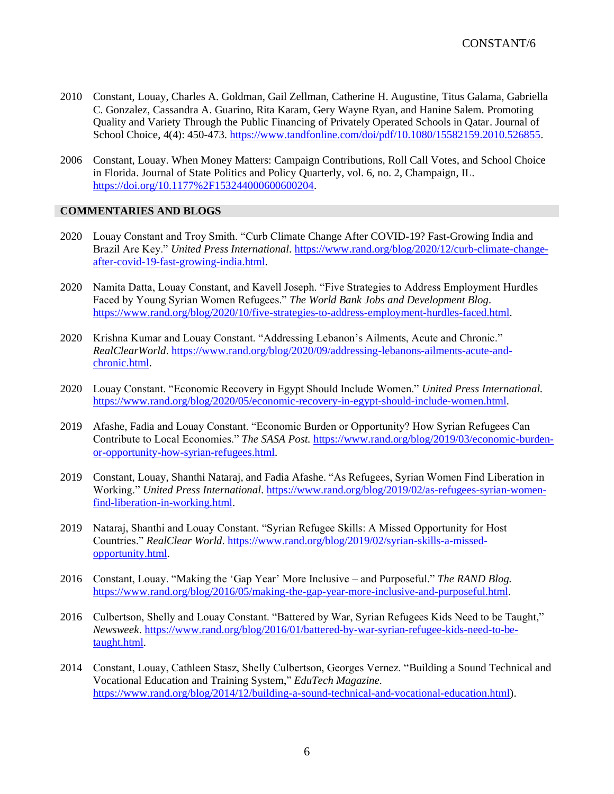- 2010 Constant, Louay, Charles A. Goldman, Gail Zellman, Catherine H. Augustine, Titus Galama, Gabriella C. Gonzalez, Cassandra A. Guarino, Rita Karam, Gery Wayne Ryan, and Hanine Salem. Promoting Quality and Variety Through the Public Financing of Privately Operated Schools in Qatar. Journal of School Choice, 4(4): 450-473. [https://www.tandfonline.com/doi/pdf/10.1080/15582159.2010.526855.](https://www.tandfonline.com/doi/pdf/10.1080/15582159.2010.526855)
- 2006 Constant, Louay. When Money Matters: Campaign Contributions, Roll Call Votes, and School Choice in Florida. Journal of State Politics and Policy Quarterly, vol. 6, no. 2, Champaign, IL. https://doi.org/10.1177%2F153244000600600204.

# **COMMENTARIES AND BLOGS**

- 2020 Louay Constant and Troy Smith. "Curb Climate Change After COVID-19? Fast-Growing India and Brazil Are Key." *United Press International*. [https://www.rand.org/blog/2020/12/curb-climate-change](https://www.rand.org/blog/2020/12/curb-climate-change-after-covid-19-fast-growing-india.html)[after-covid-19-fast-growing-india.html.](https://www.rand.org/blog/2020/12/curb-climate-change-after-covid-19-fast-growing-india.html)
- 2020 Namita Datta, Louay Constant, and Kavell Joseph. "Five Strategies to Address Employment Hurdles Faced by Young Syrian Women Refugees." *The World Bank Jobs and Development Blog*. [https://www.rand.org/blog/2020/10/five-strategies-to-address-employment-hurdles-faced.html.](https://www.rand.org/blog/2020/10/five-strategies-to-address-employment-hurdles-faced.html)
- 2020 Krishna Kumar and Louay Constant. "Addressing Lebanon's Ailments, Acute and Chronic." *RealClearWorld*. [https://www.rand.org/blog/2020/09/addressing-lebanons-ailments-acute-and](https://www.rand.org/blog/2020/09/addressing-lebanons-ailments-acute-and-chronic.html)[chronic.html.](https://www.rand.org/blog/2020/09/addressing-lebanons-ailments-acute-and-chronic.html)
- 2020 Louay Constant. "Economic Recovery in Egypt Should Include Women." *United Press International.* [https://www.rand.org/blog/2020/05/economic-recovery-in-egypt-should-include-women.html.](https://www.rand.org/blog/2020/05/economic-recovery-in-egypt-should-include-women.html)
- 2019 Afashe, Fadia and Louay Constant. "Economic Burden or Opportunity? How Syrian Refugees Can Contribute to Local Economies." *The SASA Post.* [https://www.rand.org/blog/2019/03/economic-burden](https://www.rand.org/blog/2019/03/economic-burden-or-opportunity-how-syrian-refugees.html)[or-opportunity-how-syrian-refugees.html.](https://www.rand.org/blog/2019/03/economic-burden-or-opportunity-how-syrian-refugees.html)
- 2019 Constant, Louay, Shanthi Nataraj, and Fadia Afashe. "As Refugees, Syrian Women Find Liberation in Working." *United Press International*. [https://www.rand.org/blog/2019/02/as-refugees-syrian-women](https://www.rand.org/blog/2019/02/as-refugees-syrian-women-find-liberation-in-working.html)[find-liberation-in-working.html.](https://www.rand.org/blog/2019/02/as-refugees-syrian-women-find-liberation-in-working.html)
- 2019 Nataraj, Shanthi and Louay Constant. "Syrian Refugee Skills: A Missed Opportunity for Host Countries." *RealClear World*. [https://www.rand.org/blog/2019/02/syrian-skills-a-missed](https://www.rand.org/blog/2019/02/syrian-skills-a-missed-opportunity.html)[opportunity.html.](https://www.rand.org/blog/2019/02/syrian-skills-a-missed-opportunity.html)
- 2016 Constant, Louay. "Making the 'Gap Year' More Inclusive and Purposeful." *The RAND Blog.* [https://www.rand.org/blog/2016/05/making-the-gap-year-more-inclusive-and-purposeful.html.](https://www.rand.org/blog/2016/05/making-the-gap-year-more-inclusive-and-purposeful.html)
- 2016 Culbertson, Shelly and Louay Constant. "Battered by War, Syrian Refugees Kids Need to be Taught," *Newsweek*. [https://www.rand.org/blog/2016/01/battered-by-war-syrian-refugee-kids-need-to-be](https://www.rand.org/blog/2016/01/battered-by-war-syrian-refugee-kids-need-to-be-taught.html)[taught.html.](https://www.rand.org/blog/2016/01/battered-by-war-syrian-refugee-kids-need-to-be-taught.html)
- 2014 Constant, Louay, Cathleen Stasz, Shelly Culbertson, Georges Vernez. "Building a Sound Technical and Vocational Education and Training System," *EduTech Magazine.* [https://www.rand.org/blog/2014/12/building-a-sound-technical-and-vocational-education.html\)](https://www.rand.org/blog/2014/12/building-a-sound-technical-and-vocational-education.html).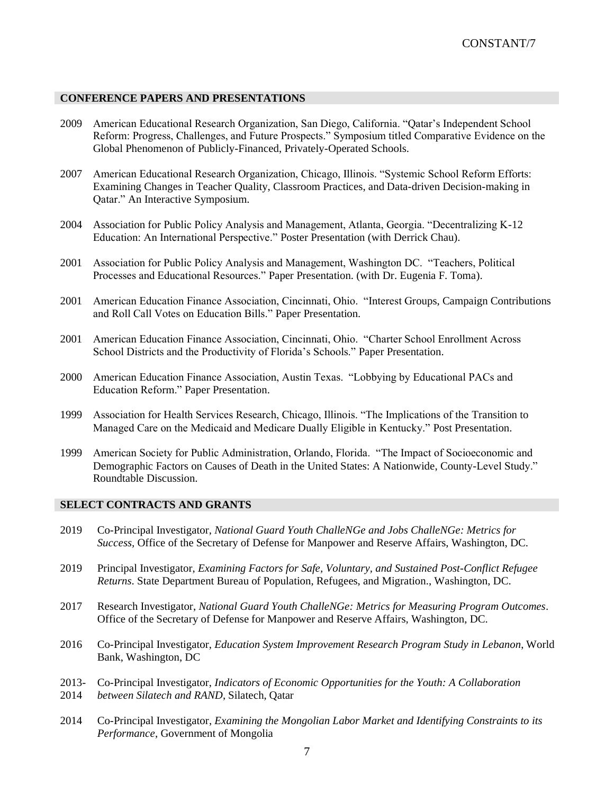### **CONFERENCE PAPERS AND PRESENTATIONS**

- 2009 American Educational Research Organization, San Diego, California. "Qatar's Independent School Reform: Progress, Challenges, and Future Prospects." Symposium titled Comparative Evidence on the Global Phenomenon of Publicly-Financed, Privately-Operated Schools.
- 2007 American Educational Research Organization, Chicago, Illinois. "Systemic School Reform Efforts: Examining Changes in Teacher Quality, Classroom Practices, and Data-driven Decision-making in Qatar." An Interactive Symposium.
- 2004 Association for Public Policy Analysis and Management, Atlanta, Georgia. "Decentralizing K-12 Education: An International Perspective." Poster Presentation (with Derrick Chau).
- 2001 Association for Public Policy Analysis and Management, Washington DC. "Teachers, Political Processes and Educational Resources." Paper Presentation. (with Dr. Eugenia F. Toma).
- 2001 American Education Finance Association, Cincinnati, Ohio. "Interest Groups, Campaign Contributions and Roll Call Votes on Education Bills." Paper Presentation.
- 2001 American Education Finance Association, Cincinnati, Ohio. "Charter School Enrollment Across School Districts and the Productivity of Florida's Schools." Paper Presentation.
- 2000 American Education Finance Association, Austin Texas. "Lobbying by Educational PACs and Education Reform." Paper Presentation.
- 1999 Association for Health Services Research, Chicago, Illinois. "The Implications of the Transition to Managed Care on the Medicaid and Medicare Dually Eligible in Kentucky." Post Presentation.
- 1999 American Society for Public Administration, Orlando, Florida. "The Impact of Socioeconomic and Demographic Factors on Causes of Death in the United States: A Nationwide, County-Level Study." Roundtable Discussion.

### **SELECT CONTRACTS AND GRANTS**

- 2019 Co-Principal Investigator, *National Guard Youth ChalleNGe and Jobs ChalleNGe: Metrics for Success,* Office of the Secretary of Defense for Manpower and Reserve Affairs, Washington, DC.
- 2019 Principal Investigator, *Examining Factors for Safe, Voluntary, and Sustained Post-Conflict Refugee Returns*. State Department Bureau of Population, Refugees, and Migration., Washington, DC.
- 2017 Research Investigator, *National Guard Youth ChalleNGe: Metrics for Measuring Program Outcomes*. Office of the Secretary of Defense for Manpower and Reserve Affairs, Washington, DC.
- 2016 Co-Principal Investigator, *Education System Improvement Research Program Study in Lebanon*, World Bank, Washington, DC
- 2013- 2014 Co-Principal Investigator, *Indicators of Economic Opportunities for the Youth: A Collaboration between Silatech and RAND*, Silatech, Qatar
- 2014 Co-Principal Investigator, *Examining the Mongolian Labor Market and Identifying Constraints to its Performance*, Government of Mongolia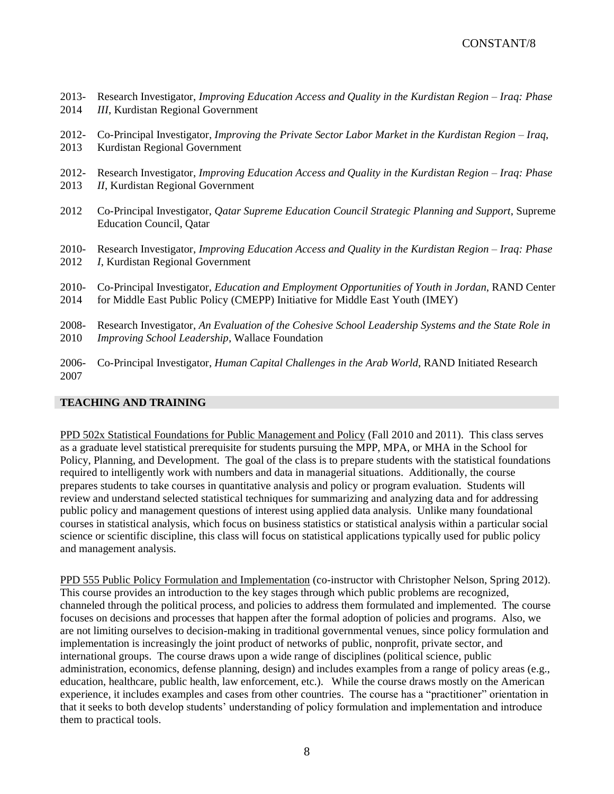- 2013- 2014 Research Investigator, *Improving Education Access and Quality in the Kurdistan Region – Iraq: Phase III*, Kurdistan Regional Government
- 2012- 2013 Co-Principal Investigator, *Improving the Private Sector Labor Market in the Kurdistan Region – Iraq*, Kurdistan Regional Government
- 2012- 2013 Research Investigator, *Improving Education Access and Quality in the Kurdistan Region – Iraq: Phase II*, Kurdistan Regional Government
- 2012 Co-Principal Investigator, *Qatar Supreme Education Council Strategic Planning and Support*, Supreme Education Council, Qatar
- 2010- 2012 Research Investigator, *Improving Education Access and Quality in the Kurdistan Region – Iraq: Phase I*, Kurdistan Regional Government
- 2010- 2014 Co-Principal Investigator, *Education and Employment Opportunities of Youth in Jordan*, RAND Center for Middle East Public Policy (CMEPP) Initiative for Middle East Youth (IMEY)
- 2008- 2010 Research Investigator, *An Evaluation of the Cohesive School Leadership Systems and the State Role in Improving School Leadership*, Wallace Foundation
- 2006- 2007 Co-Principal Investigator, *Human Capital Challenges in the Arab World*, RAND Initiated Research

### **TEACHING AND TRAINING**

PPD 502x Statistical Foundations for Public Management and Policy (Fall 2010 and 2011). This class serves as a graduate level statistical prerequisite for students pursuing the MPP, MPA, or MHA in the School for Policy, Planning, and Development. The goal of the class is to prepare students with the statistical foundations required to intelligently work with numbers and data in managerial situations. Additionally, the course prepares students to take courses in quantitative analysis and policy or program evaluation. Students will review and understand selected statistical techniques for summarizing and analyzing data and for addressing public policy and management questions of interest using applied data analysis. Unlike many foundational courses in statistical analysis, which focus on business statistics or statistical analysis within a particular social science or scientific discipline, this class will focus on statistical applications typically used for public policy and management analysis.

PPD 555 Public Policy Formulation and Implementation (co-instructor with Christopher Nelson, Spring 2012). This course provides an introduction to the key stages through which public problems are recognized, channeled through the political process, and policies to address them formulated and implemented. The course focuses on decisions and processes that happen after the formal adoption of policies and programs. Also, we are not limiting ourselves to decision-making in traditional governmental venues, since policy formulation and implementation is increasingly the joint product of networks of public, nonprofit, private sector, and international groups. The course draws upon a wide range of disciplines (political science, public administration, economics, defense planning, design) and includes examples from a range of policy areas (e.g., education, healthcare, public health, law enforcement, etc.). While the course draws mostly on the American experience, it includes examples and cases from other countries. The course has a "practitioner" orientation in that it seeks to both develop students' understanding of policy formulation and implementation and introduce them to practical tools.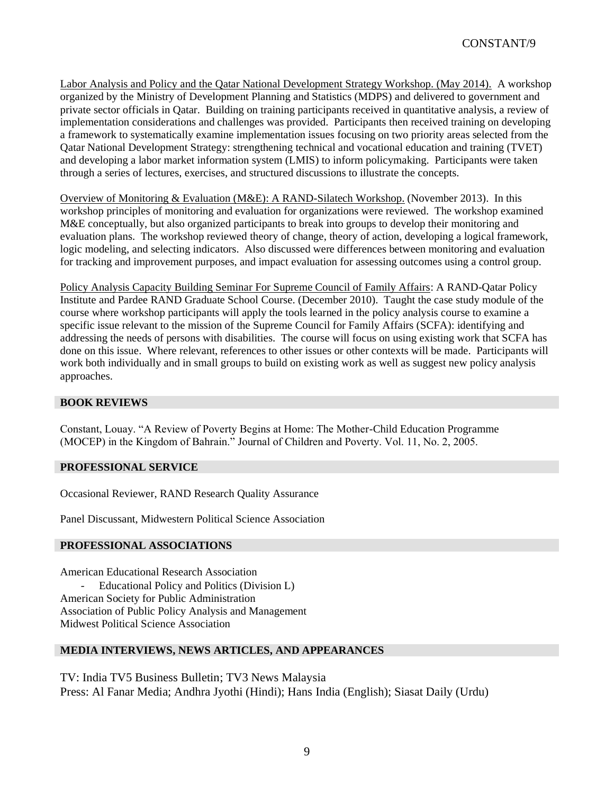Labor Analysis and Policy and the Qatar National Development Strategy Workshop. (May 2014). A workshop organized by the Ministry of Development Planning and Statistics (MDPS) and delivered to government and private sector officials in Qatar. Building on training participants received in quantitative analysis, a review of implementation considerations and challenges was provided. Participants then received training on developing a framework to systematically examine implementation issues focusing on two priority areas selected from the Qatar National Development Strategy: strengthening technical and vocational education and training (TVET) and developing a labor market information system (LMIS) to inform policymaking. Participants were taken through a series of lectures, exercises, and structured discussions to illustrate the concepts.

Overview of Monitoring & Evaluation (M&E): A RAND-Silatech Workshop. (November 2013). In this workshop principles of monitoring and evaluation for organizations were reviewed. The workshop examined M&E conceptually, but also organized participants to break into groups to develop their monitoring and evaluation plans. The workshop reviewed theory of change, theory of action, developing a logical framework, logic modeling, and selecting indicators. Also discussed were differences between monitoring and evaluation for tracking and improvement purposes, and impact evaluation for assessing outcomes using a control group.

Policy Analysis Capacity Building Seminar For Supreme Council of Family Affairs: A RAND-Qatar Policy Institute and Pardee RAND Graduate School Course. (December 2010). Taught the case study module of the course where workshop participants will apply the tools learned in the policy analysis course to examine a specific issue relevant to the mission of the Supreme Council for Family Affairs (SCFA): identifying and addressing the needs of persons with disabilities. The course will focus on using existing work that SCFA has done on this issue. Where relevant, references to other issues or other contexts will be made. Participants will work both individually and in small groups to build on existing work as well as suggest new policy analysis approaches.

## **BOOK REVIEWS**

Constant, Louay. "A Review of Poverty Begins at Home: The Mother-Child Education Programme (MOCEP) in the Kingdom of Bahrain." Journal of Children and Poverty. Vol. 11, No. 2, 2005.

## **PROFESSIONAL SERVICE**

Occasional Reviewer, RAND Research Quality Assurance

Panel Discussant, Midwestern Political Science Association

## **PROFESSIONAL ASSOCIATIONS**

American Educational Research Association Educational Policy and Politics (Division L) American Society for Public Administration Association of Public Policy Analysis and Management Midwest Political Science Association

## **MEDIA INTERVIEWS, NEWS ARTICLES, AND APPEARANCES**

TV: India TV5 Business Bulletin; TV3 News Malaysia Press: Al Fanar Media; Andhra Jyothi (Hindi); Hans India (English); Siasat Daily (Urdu)